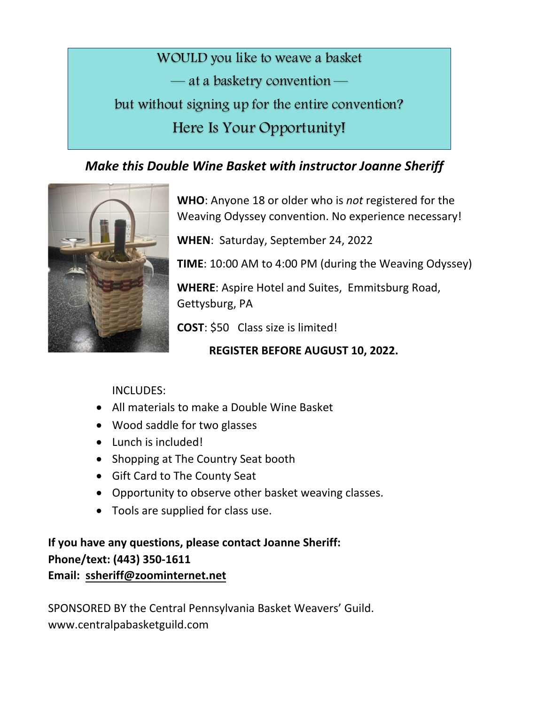WOULD you like to weave a basket — at a basketry convention but without signing up for the entire convention? Here Is Your Opportunity!

## *Make this Double Wine Basket with instructor Joanne Sheriff*



**WHO**: Anyone 18 or older who is *not* registered for the Weaving Odyssey convention. No experience necessary!

WHEN: Saturday, September 24, 2022

**TIME**: 10:00 AM to 4:00 PM (during the Weaving Odyssey)

**WHERE:** Aspire Hotel and Suites, Emmitsburg Road, Gettysburg, PA

**COST**: \$50 Class size is limited!

**REGISTER BEFORE AUGUST 10, 2022.** 

## INCLUDES:

- All materials to make a Double Wine Basket
- Wood saddle for two glasses
- Lunch is included!
- Shopping at The Country Seat booth
- Gift Card to The County Seat
- Opportunity to observe other basket weaving classes.
- Tools are supplied for class use.

If you have any questions, please contact Joanne Sheriff: **Phone/text: (443) 350-1611 Email: ssheriff@zoominternet.net** 

SPONSORED BY the Central Pennsylvania Basket Weavers' Guild. www.centralpabasketguild.com